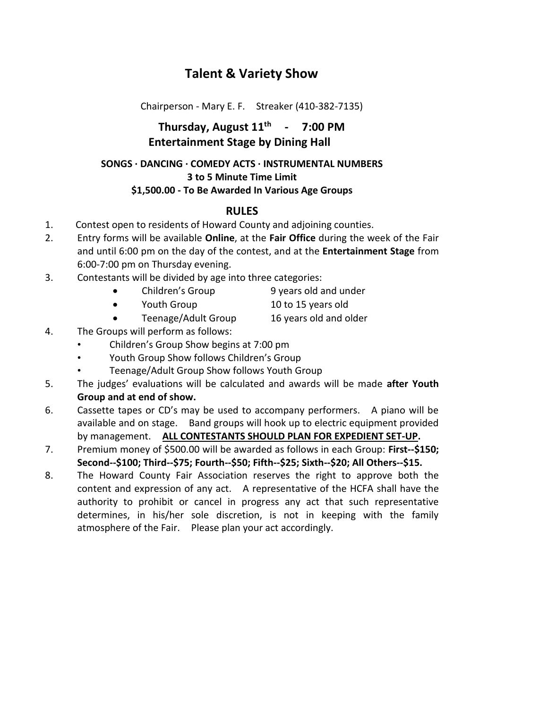## **Talent & Variety Show**

Chairperson - Mary E. F. Streaker (410-382-7135)

**Thursday, August 11 th - 7:00 PM Entertainment Stage by Dining Hall**

## **SONGS · DANCING · COMEDY ACTS · INSTRUMENTAL NUMBERS 3 to 5 Minute Time Limit \$1,500.00 - To Be Awarded In Various Age Groups**

## **RULES**

- 1. Contest open to residents of Howard County and adjoining counties.
- 2. Entry forms will be available **Online**, at the **Fair Office** during the week of the Fair and until 6:00 pm on the day of the contest, and at the **Entertainment Stage** from 6:00-7:00 pm on Thursday evening.
- 3. Contestants will be divided by age into three categories:
	- Children's Group 9 years old and under
	- Youth Group 10 to 15 years old
	- Teenage/Adult Group 16 years old and older
- 4. The Groups will perform as follows:
	- Children's Group Show begins at 7:00 pm
	- Youth Group Show follows Children's Group
	- Teenage/Adult Group Show follows Youth Group
- 5. The judges' evaluations will be calculated and awards will be made **after Youth Group and at end of show.**
- 6. Cassette tapes or CD's may be used to accompany performers. A piano will be available and on stage. Band groups will hook up to electric equipment provided by management. **ALL CONTESTANTS SHOULD PLAN FOR EXPEDIENT SET-UP.**
- 7. Premium money of \$500.00 will be awarded as follows in each Group: **First--\$150; Second--\$100; Third--\$75; Fourth--\$50; Fifth--\$25; Sixth--\$20; All Others--\$15.**
- 8. The Howard County Fair Association reserves the right to approve both the content and expression of any act. A representative of the HCFA shall have the authority to prohibit or cancel in progress any act that such representative determines, in his/her sole discretion, is not in keeping with the family atmosphere of the Fair. Please plan your act accordingly.
- -